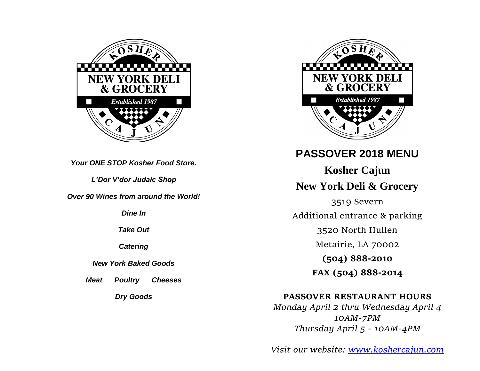

*Your ONE STOP Kosher Food Store.*

*L'Dor V'dor Judaic Shop*

*Over 90 Wines from around the World!*

*Dine In*

*Take Out*

*Catering*

*New York Baked Goods*

*Meat Poultry Cheeses*

*Dry Goods*



# **PASSOVER 2018 MENU**

**Kosher Cajun New York Deli & Grocery**

3519 Severn Additional entrance & parking

3520 North Hullen

Metairie, LA 70002

**(504) 888-2010**

**FAX (504) 888-2014**

# **PASSOVER RESTAURANT HOURS**

*Monday April 2 thru Wednesday April 4 10AM-7PM Thursday April 5 - 10AM-4PM*

*Visit our website: [www.koshercajun.com](http://www.koshercajun.com/)*